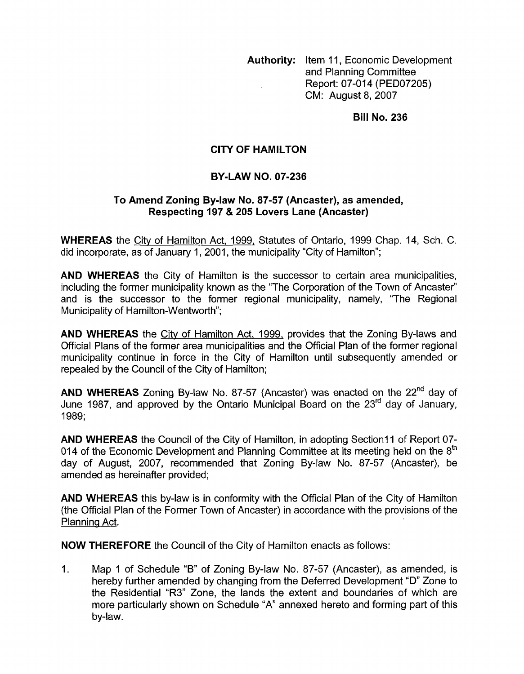**Authority:** Item 11, Economic Development and Planning Committee Report: 07-014 (PED07205) CM: August 8,2007

**Bill No. 236** 

## **CITY OF HAMILTON**

## **BY-LAW NO. 07-236**

## **To Amend Zoning Bylaw No. 87-57 (Ancaster), as amended, Respecting 197** & **205 Lovers Lane (Ancaster)**

**WHEREAS** the City of Hamilton Act, 1999, Statutes of Ontario, 1999 Chap. 14, Sch. C. did incorporate, as of January 1, 2001, the municipality "City of Hamilton";

**AND WHEREAS** the City of Hamilton is the successor to certain area municipalities, including the former municipality known as the "The Corporation of the Town of Ancaster" and is the successor to the former regional municipality, namely, "The Regional Municipality of Hamilton-Wentworth";

**AND WHEREAS** the City of Hamilton Act, 1999, provides that the Zoning By-laws and Official Plans of the former area municipalities and the Official Plan of the former regional municipality continue in force in the City of Hamilton until subsequently amended or repealed by the Council of the City of Hamilton;

**AND WHEREAS** Zoning By-law No. 87-57 (Ancaster) was enacted on the **22"d** day of June 1987, and approved by the Ontario Municipal Board on the 23<sup>rd</sup> day of January, 1989;

**AND WHEREAS** the Council of the City of Hamilton, in adopting Section11 of Report 07-014 of the Economic Development and Planning Committee at its meeting held on the  $8<sup>th</sup>$ day of August, 2007, recommended that Zoning By-law No. 87-57 (Ancaster), be amended as hereinafter provided;

**AND WHEREAS** this by-law is in conformity with the Official Plan of the City of Hamilton (the Official Plan of the Former Town of Ancaster) in accordance with the provisions of the Planning Act.

**NOW THEREFORE** the Council of the City of Hamilton enacts as follows:

1. Map 1 of Schedule "B" of Zoning By-law No. 87-57 (Ancaster), as amended, is hereby further amended by changing from the Deferred Development "D" Zone to the Residential "R3" Zone, the lands the extent and boundaries of which are more particularly shown on Schedule "A" annexed hereto and forming part of this by-law.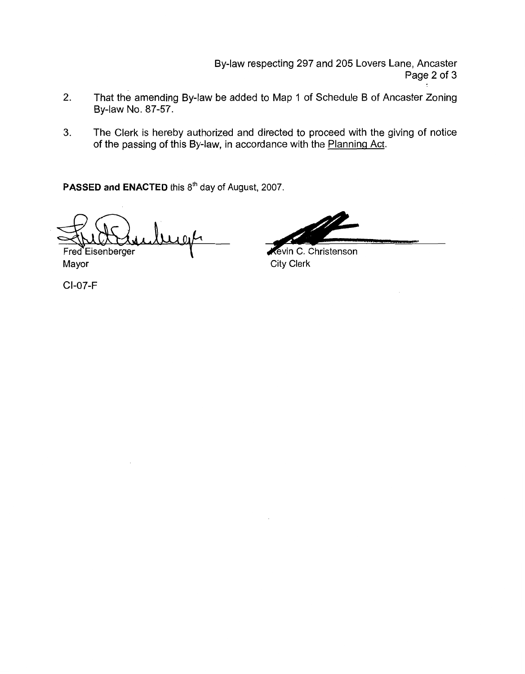By-law respecting 297 and 205 Lovers Lane, Ancaster Page 2 of 3

- 2. That the amending By-law be added to Map 1 of Schedule B of Ancaster Zoning By-law No. 87-57.
- **3.** The Clerk is hereby authorized and directed to proceed with the giving of notice of the passing of this By-law, in accordance with the Planning Act.

PASSED and ENACTED this 8<sup>th</sup> day of August, 2007.

Fred Eisenberger

CI-07-F

**Example 2017** and 205 Lovers Lane, Ancaster<br>
Page 2 of 3<br>
D Map 1 of Schedule B of Ancaster Zoning<br>
irected to proceed with the giving of notice<br>
ance with the <u>Planning Act</u>.<br> **Revin C. Christenson**<br>
City Clerk

Mayor City Clerk